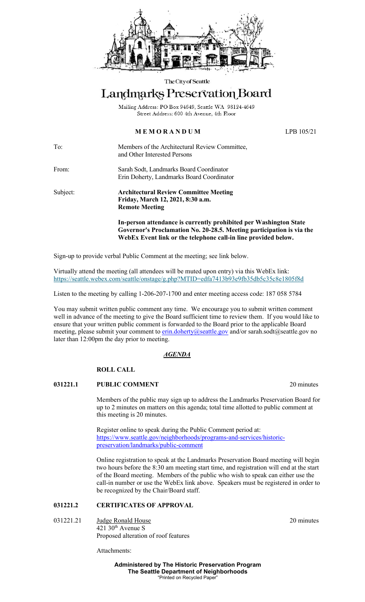

#### The City of Seattle

# Landmarks Preservation Board

Mailing Address: PO Box 94649, Seattle WA 98124-4649 Street Address: 600 4th Avenue, 4th Floor

# **M E M O R A N D U M** LPB 105/21

To: Members of the Architectural Review Committee, and Other Interested Persons

From: Sarah Sodt, Landmarks Board Coordinator Erin Doherty, Landmarks Board Coordinator

Subject: **Architectural Review Committee Meeting Friday, March 12, 2021, 8:30 a.m. Remote Meeting**

> **In-person attendance is currently prohibited per Washington State Governor's Proclamation No. 20-28.5. Meeting participation is via the WebEx Event link or the telephone call-in line provided below.**

Sign-up to provide verbal Public Comment at the meeting; see link below.

Virtually attend the meeting (all attendees will be muted upon entry) via this WebEx link: <https://seattle.webex.com/seattle/onstage/g.php?MTID=edfa7413b93e9fb35db5c35c8e1805f8d>

Listen to the meeting by calling 1-206-207-1700 and enter meeting access code: 187 058 5784

You may submit written public comment any time. We encourage you to submit written comment well in advance of the meeting to give the Board sufficient time to review them. If you would like to ensure that your written public comment is forwarded to the Board prior to the applicable Board meeting, please submit your comment to [erin.doherty@seattle.gov](mailto:erin.doherty@seattle.gov) and/or [sarah.sodt@seattle.gov](mailto:sarah.sodt@seattle.gov) no later than 12:00pm the day prior to meeting.

## *AGENDA*

# **ROLL CALL**

## **031221.1 PUBLIC COMMENT** 20 minutes

Members of the public may sign up to address the Landmarks Preservation Board for up to 2 minutes on matters on this agenda; total time allotted to public comment at this meeting is 20 minutes.

Register online to speak during the Public Comment period at: [https://www.seattle.gov/neighborhoods/programs-and-services/historic](https://www.seattle.gov/neighborhoods/programs-and-services/historic-preservation/landmarks/public-comment)[preservation/landmarks/public-comment](https://www.seattle.gov/neighborhoods/programs-and-services/historic-preservation/landmarks/public-comment)

Online registration to speak at the Landmarks Preservation Board meeting will begin two hours before the 8:30 am meeting start time, and registration will end at the start of the Board meeting. Members of the public who wish to speak can either use the call-in number or use the WebEx link above. Speakers must be registered in order to be recognized by the Chair/Board staff.

## **031221.2 CERTIFICATES OF APPROVAL**

031221.21 Judge Ronald House 20 minutes  $421$  30<sup>th</sup> Avenue S Proposed alteration of roof features

Attachments:

**Administered by The Historic Preservation Program The Seattle Department of Neighborhoods** "Printed on Recycled Paper"